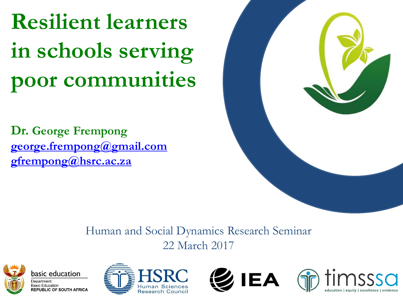# **Resilient learners in schools serving poor communities**

**Dr. George Frempong [george.frempong@gmail.com](mailto:george.frempong@gmail.com) [gfrempong@hsrc.ac.za](mailto:gfrempong@hsrc.ac.za)**



#### Human and Social Dynamics Research Seminar 22 March 2017









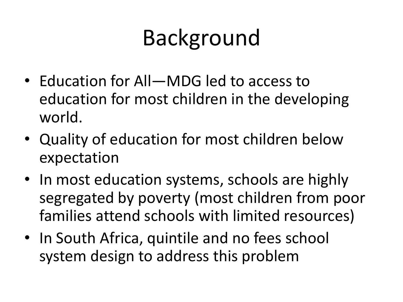# Background

- Education for All—MDG led to access to education for most children in the developing world.
- Quality of education for most children below expectation
- In most education systems, schools are highly segregated by poverty (most children from poor families attend schools with limited resources)
- In South Africa, quintile and no fees school system design to address this problem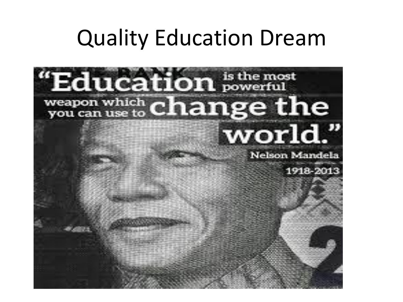### Quality Education Dream

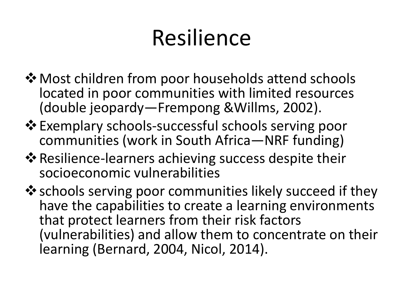# Resilience

- $\lozenge$  **Most children from poor households attend schools** located in poor communities with limited resources (double jeopardy—Frempong &Willms, 2002).
- Exemplary schools-successful schools serving poor communities (work in South Africa—NRF funding)
- ❖ Resilience-learners achieving success despite their socioeconomic vulnerabilities
- $\dots$  schools serving poor communities likely succeed if they have the capabilities to create a learning environments that protect learners from their risk factors (vulnerabilities) and allow them to concentrate on their learning (Bernard, 2004, Nicol, 2014).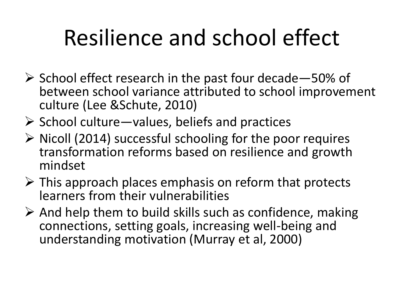# Resilience and school effect

- $\triangleright$  School effect research in the past four decade 50% of between school variance attributed to school improvement culture (Lee &Schute, 2010)
- $\triangleright$  School culture—values, beliefs and practices
- $\triangleright$  Nicoll (2014) successful schooling for the poor requires transformation reforms based on resilience and growth mindset
- $\triangleright$  This approach places emphasis on reform that protects learners from their vulnerabilities
- $\triangleright$  And help them to build skills such as confidence, making connections, setting goals, increasing well-being and understanding motivation (Murray et al, 2000)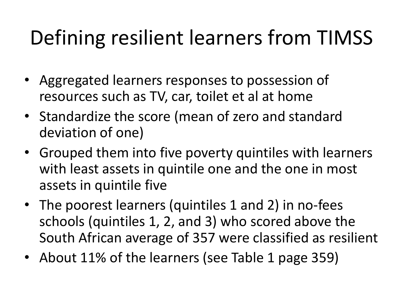### Defining resilient learners from TIMSS

- Aggregated learners responses to possession of resources such as TV, car, toilet et al at home
- Standardize the score (mean of zero and standard deviation of one)
- Grouped them into five poverty quintiles with learners with least assets in quintile one and the one in most assets in quintile five
- The poorest learners (quintiles 1 and 2) in no-fees schools (quintiles 1, 2, and 3) who scored above the South African average of 357 were classified as resilient
- About 11% of the learners (see Table 1 page 359)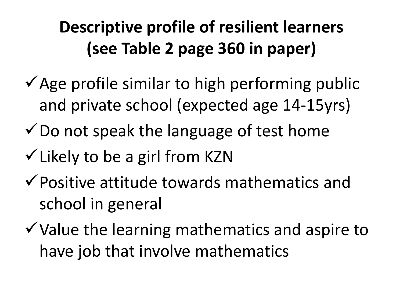#### **Descriptive profile of resilient learners (see Table 2 page 360 in paper)**

- $\checkmark$  Age profile similar to high performing public and private school (expected age 14-15yrs)
- $\checkmark$  Do not speak the language of test home
- $\checkmark$  Likely to be a girl from KZN
- $\checkmark$  Positive attitude towards mathematics and school in general
- $\checkmark$  Value the learning mathematics and aspire to have job that involve mathematics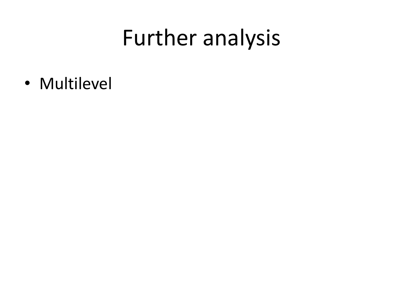### Further analysis

• Multilevel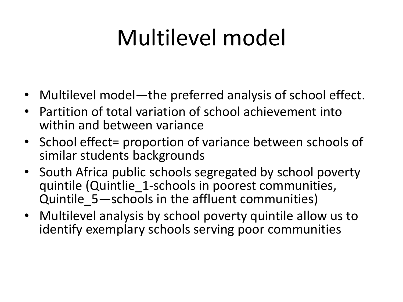# Multilevel model

- Multilevel model—the preferred analysis of school effect.
- Partition of total variation of school achievement into within and between variance
- School effect= proportion of variance between schools of similar students backgrounds
- South Africa public schools segregated by school poverty quintile (Quintlie 1-schools in poorest communities, Quintile\_5—schools in the affluent communities)
- Multilevel analysis by school poverty quintile allow us to identify exemplary schools serving poor communities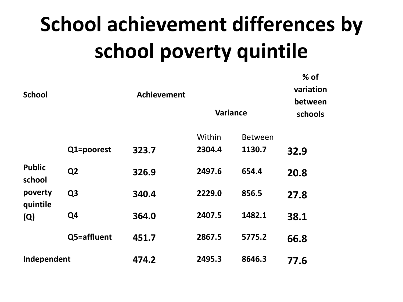# **School achievement differences by school poverty quintile**

**% of** 

| <b>School</b>                                         |                | <b>Achievement</b> | <b>Variance</b> | 70 VI<br>variation<br>between<br>schools |      |  |
|-------------------------------------------------------|----------------|--------------------|-----------------|------------------------------------------|------|--|
|                                                       |                |                    | Within          | <b>Between</b>                           |      |  |
| <b>Public</b><br>school<br>poverty<br>quintile<br>(Q) | Q1=poorest     | 323.7              | 2304.4          | 1130.7                                   | 32.9 |  |
|                                                       | Q <sub>2</sub> | 326.9              | 2497.6          | 654.4                                    | 20.8 |  |
|                                                       | Q <sub>3</sub> | 340.4              | 2229.0          | 856.5                                    | 27.8 |  |
|                                                       | Q <sub>4</sub> | 364.0              | 2407.5          | 1482.1                                   | 38.1 |  |
|                                                       | Q5=affluent    | 451.7              | 2867.5          | 5775.2                                   | 66.8 |  |
| Independent                                           |                | 474.2              | 2495.3          | 8646.3                                   | 77.6 |  |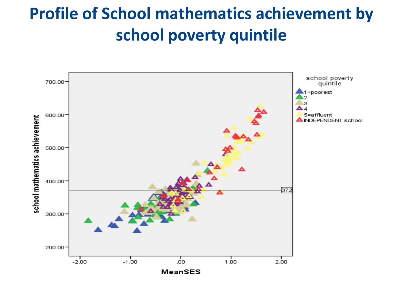#### **Profile of School mathematics achievement by school poverty quintile**

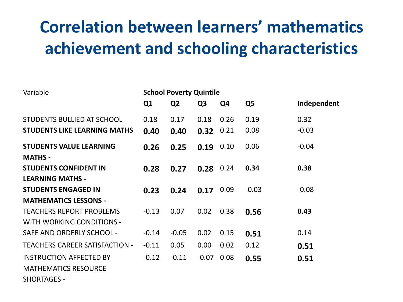#### **Correlation between learners' mathematics achievement and schooling characteristics**

| Variable                              | <b>School Poverty Quintile</b> |                |                |      |                |             |  |
|---------------------------------------|--------------------------------|----------------|----------------|------|----------------|-------------|--|
|                                       | Q1                             | Q <sub>2</sub> | Q <sub>3</sub> | Q4   | Q <sub>5</sub> | Independent |  |
| <b>STUDENTS BULLIED AT SCHOOL</b>     | 0.18                           | 0.17           | 0.18           | 0.26 | 0.19           | 0.32        |  |
| <b>STUDENTS LIKE LEARNING MATHS</b>   | 0.40                           | 0.40           | 0.32           | 0.21 | 0.08           | $-0.03$     |  |
| <b>STUDENTS VALUE LEARNING</b>        | 0.26                           | 0.25           | 0.19           | 0.10 | 0.06           | $-0.04$     |  |
| <b>MATHS -</b>                        |                                |                |                |      |                |             |  |
| <b>STUDENTS CONFIDENT IN</b>          | 0.28                           | 0.27           | 0.28           | 0.24 | 0.34           | 0.38        |  |
| <b>LEARNING MATHS -</b>               |                                |                |                |      |                |             |  |
| <b>STUDENTS ENGAGED IN</b>            | 0.23                           | 0.24           | 0.17           | 0.09 | $-0.03$        | $-0.08$     |  |
| <b>MATHEMATICS LESSONS -</b>          |                                |                |                |      |                |             |  |
| <b>TEACHERS REPORT PROBLEMS</b>       | $-0.13$                        | 0.07           | 0.02           | 0.38 | 0.56           | 0.43        |  |
| <b>WITH WORKING CONDITIONS -</b>      |                                |                |                |      |                |             |  |
| SAFE AND ORDERLY SCHOOL -             | $-0.14$                        | $-0.05$        | 0.02           | 0.15 | 0.51           | 0.14        |  |
| <b>TEACHERS CAREER SATISFACTION -</b> | $-0.11$                        | 0.05           | 0.00           | 0.02 | 0.12           | 0.51        |  |
| <b>INSTRUCTION AFFECTED BY</b>        | $-0.12$                        | $-0.11$        | $-0.07$        | 0.08 | 0.55           | 0.51        |  |
| <b>MATHEMATICS RESOURCE</b>           |                                |                |                |      |                |             |  |
| <b>SHORTAGES -</b>                    |                                |                |                |      |                |             |  |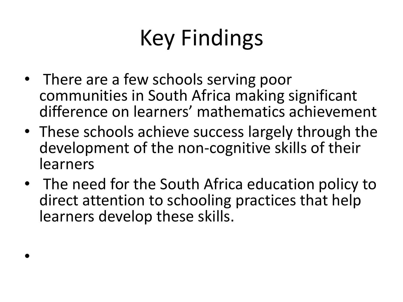# Key Findings

- There are a few schools serving poor communities in South Africa making significant difference on learners' mathematics achievement
- These schools achieve success largely through the development of the non-cognitive skills of their learners
- The need for the South Africa education policy to direct attention to schooling practices that help learners develop these skills.

•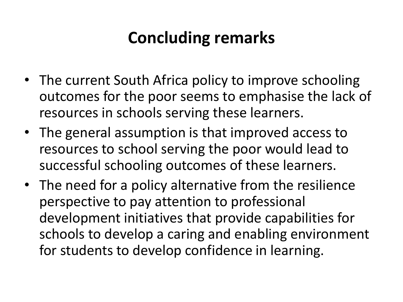#### **Concluding remarks**

- The current South Africa policy to improve schooling outcomes for the poor seems to emphasise the lack of resources in schools serving these learners.
- The general assumption is that improved access to resources to school serving the poor would lead to successful schooling outcomes of these learners.
- The need for a policy alternative from the resilience perspective to pay attention to professional development initiatives that provide capabilities for schools to develop a caring and enabling environment for students to develop confidence in learning.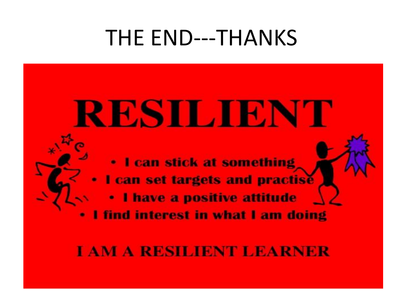### THE END---THANKS

# RESILIENT

. I can stick at something I can set targets and practise I have a positive attitude find interest in what I am doing

#### **TAM A RESILIENT LEARNER**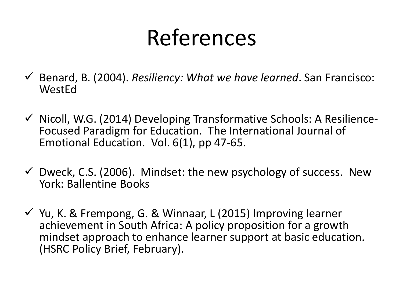## References

- Benard, B. (2004). *Resiliency: What we have learned*. San Francisco: **WestEd**
- $\checkmark$  Nicoll, W.G. (2014) Developing Transformative Schools: A Resilience-Focused Paradigm for Education. The International Journal of Emotional Education. Vol. 6(1), pp 47-65.
- $\checkmark$  Dweck, C.S. (2006). Mindset: the new psychology of success. New York: Ballentine Books
- $\checkmark$  Yu, K. & Frempong, G. & Winnaar, L (2015) Improving learner achievement in South Africa: A policy proposition for a growth mindset approach to enhance learner support at basic education. (HSRC Policy Brief, February).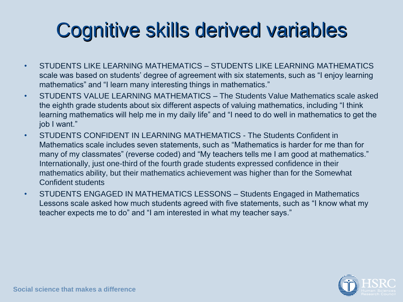### Cognitive skills derived variables

- STUDENTS LIKE LEARNING MATHEMATICS STUDENTS LIKE LEARNING MATHEMATICS scale was based on students' degree of agreement with six statements, such as "I enjoy learning mathematics" and "I learn many interesting things in mathematics."
- STUDENTS VALUE LEARNING MATHEMATICS The Students Value Mathematics scale asked the eighth grade students about six different aspects of valuing mathematics, including "I think learning mathematics will help me in my daily life" and "I need to do well in mathematics to get the job I want."
- STUDENTS CONFIDENT IN LEARNING MATHEMATICS The Students Confident in Mathematics scale includes seven statements, such as "Mathematics is harder for me than for many of my classmates" (reverse coded) and "My teachers tells me I am good at mathematics." Internationally, just one-third of the fourth grade students expressed confidence in their mathematics ability, but their mathematics achievement was higher than for the Somewhat Confident students
- STUDENTS ENGAGED IN MATHEMATICS LESSONS Students Engaged in Mathematics Lessons scale asked how much students agreed with five statements, such as "I know what my teacher expects me to do" and "I am interested in what my teacher says."